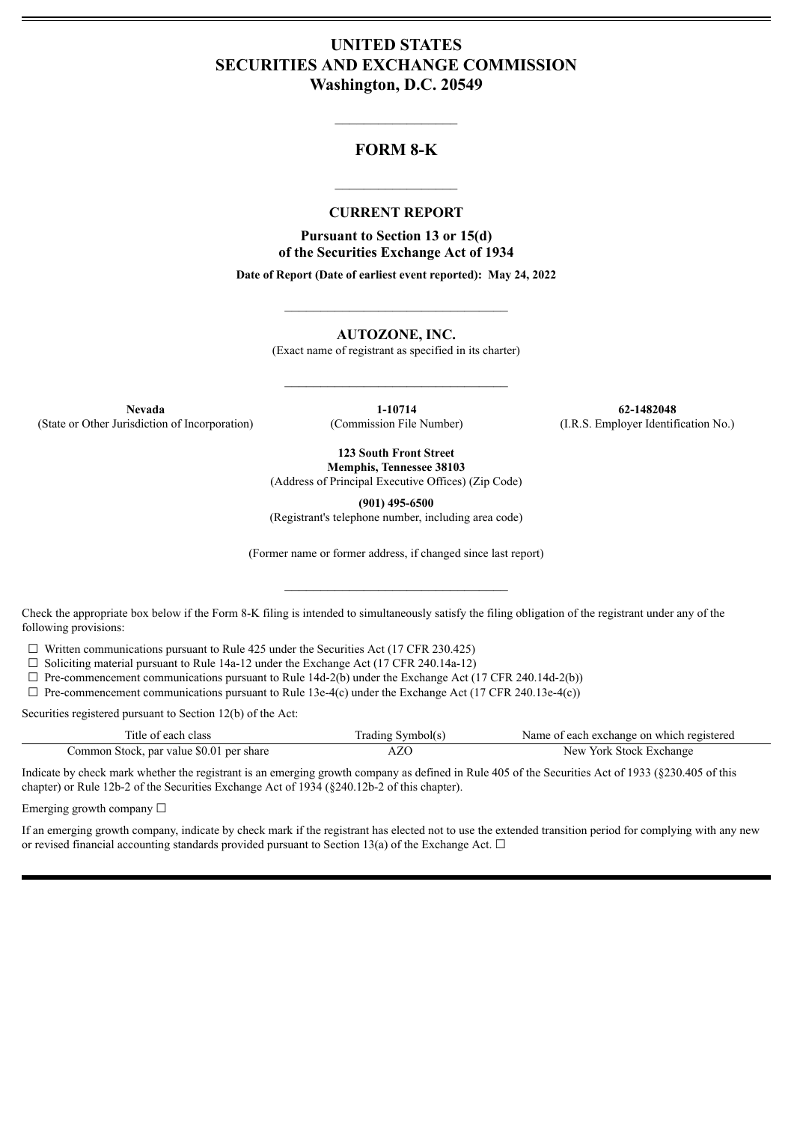## **UNITED STATES SECURITIES AND EXCHANGE COMMISSION Washington, D.C. 20549**

## **FORM 8-K**

 $\mathcal{L}=\mathcal{L}^{\mathcal{L}}$  , we have the set of the set of the set of the set of the set of the set of the set of the set of the set of the set of the set of the set of the set of the set of the set of the set of the set of th

#### **CURRENT REPORT**

 $\frac{1}{2}$  ,  $\frac{1}{2}$  ,  $\frac{1}{2}$  ,  $\frac{1}{2}$  ,  $\frac{1}{2}$  ,  $\frac{1}{2}$  ,  $\frac{1}{2}$ 

**Pursuant to Section 13 or 15(d) of the Securities Exchange Act of 1934**

**Date of Report (Date of earliest event reported): May 24, 2022**

 $\_$ 

**AUTOZONE, INC.**

(Exact name of registrant as specified in its charter)

 $\mathcal{L}_\text{max}$  and  $\mathcal{L}_\text{max}$  and  $\mathcal{L}_\text{max}$ 

(State or Other Jurisdiction of Incorporation) (Commission File Number) (I.R.S. Employer Identification No.)

**Nevada 1-10714 62-1482048**

**123 South Front Street Memphis, Tennessee 38103**

(Address of Principal Executive Offices) (Zip Code)

**(901) 495-6500**

(Registrant's telephone number, including area code)

(Former name or former address, if changed since last report)

 $\mathcal{L}_\text{max}$  and  $\mathcal{L}_\text{max}$  and  $\mathcal{L}_\text{max}$ 

Check the appropriate box below if the Form 8-K filing is intended to simultaneously satisfy the filing obligation of the registrant under any of the following provisions:

 $\Box$  Written communications pursuant to Rule 425 under the Securities Act (17 CFR 230.425)

 $\Box$  Soliciting material pursuant to Rule 14a-12 under the Exchange Act (17 CFR 240.14a-12)

 $\Box$  Pre-commencement communications pursuant to Rule 14d-2(b) under the Exchange Act (17 CFR 240.14d-2(b))

 $\Box$  Pre-commencement communications pursuant to Rule 13e-4(c) under the Exchange Act (17 CFR 240.13e-4(c))

Securities registered pursuant to Section 12(b) of the Act:

| Title of each class                      | Frading Symbol(s) | Name of each exchange on which registered |
|------------------------------------------|-------------------|-------------------------------------------|
| Common Stock, par value \$0.01 per share | AZO               | New York Stock Exchange                   |

Indicate by check mark whether the registrant is an emerging growth company as defined in Rule 405 of the Securities Act of 1933 (§230.405 of this chapter) or Rule 12b-2 of the Securities Exchange Act of 1934 (§240.12b-2 of this chapter).

Emerging growth company  $\Box$ 

If an emerging growth company, indicate by check mark if the registrant has elected not to use the extended transition period for complying with any new or revised financial accounting standards provided pursuant to Section 13(a) of the Exchange Act.  $\Box$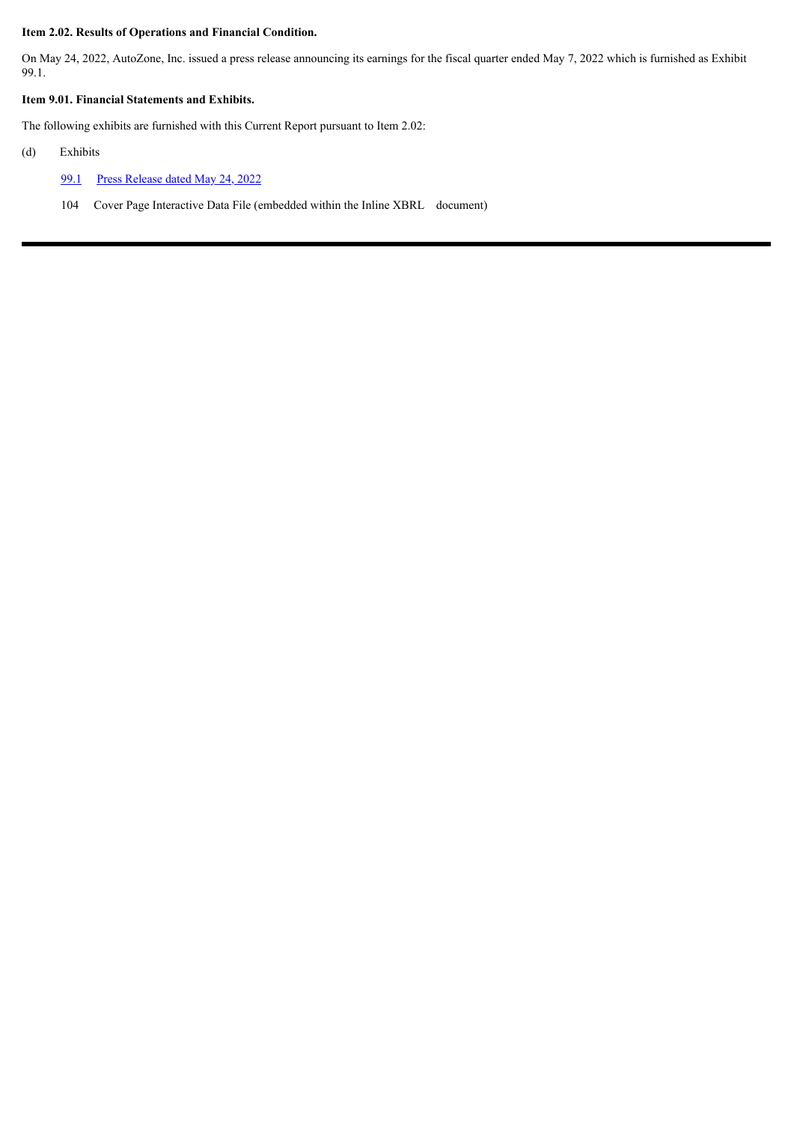#### **Item 2.02. Results of Operations and Financial Condition.**

On May 24, 2022, AutoZone, Inc. issued a press release announcing its earnings for the fiscal quarter ended May 7, 2022 which is furnished as Exhibit 99.1.

#### **Item 9.01. Financial Statements and Exhibits.**

The following exhibits are furnished with this Current Report pursuant to Item 2.02:

- (d) Exhibits
	- [99.1](#page-3-0) Press [Release](#page-3-0) dated May 24, 2022
	- 104 Cover Page Interactive Data File (embedded within the Inline XBRL document)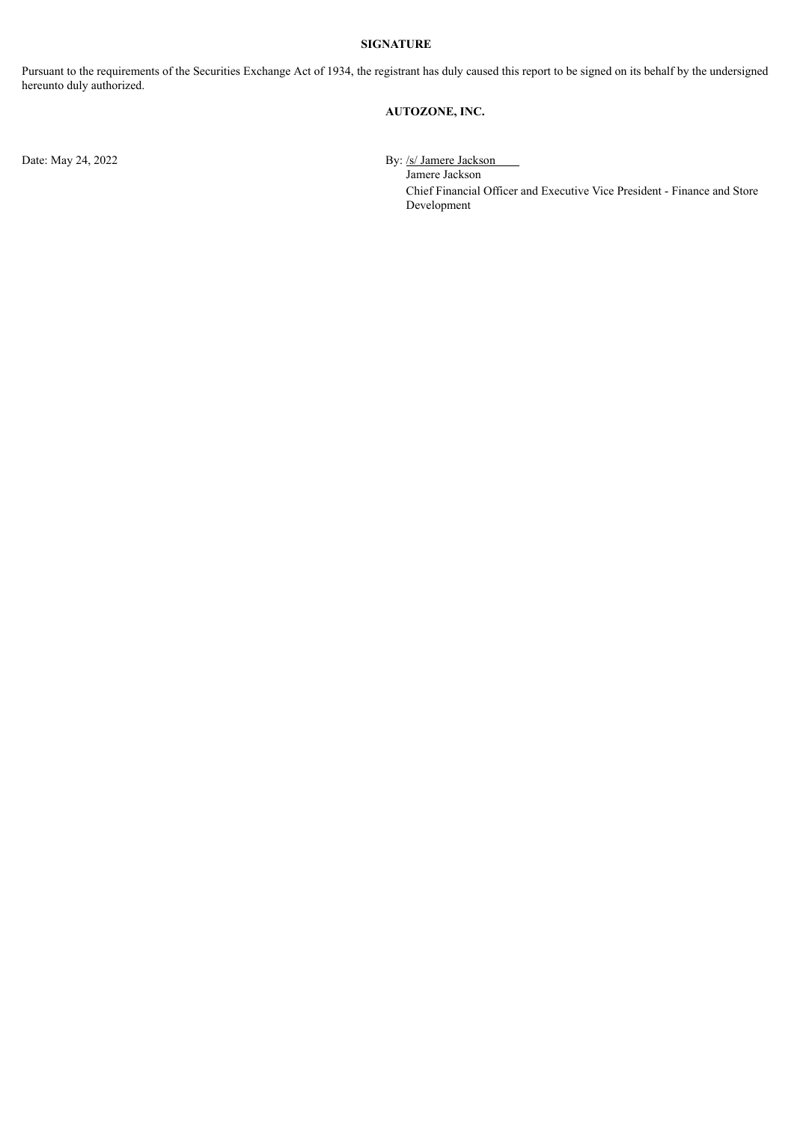#### **SIGNATURE**

Pursuant to the requirements of the Securities Exchange Act of 1934, the registrant has duly caused this report to be signed on its behalf by the undersigned hereunto duly authorized.

#### **AUTOZONE, INC.**

Date: May 24, 2022 By: /s/ Jamere Jackson

Jamere Jackson Chief Financial Officer and Executive Vice President - Finance and Store Development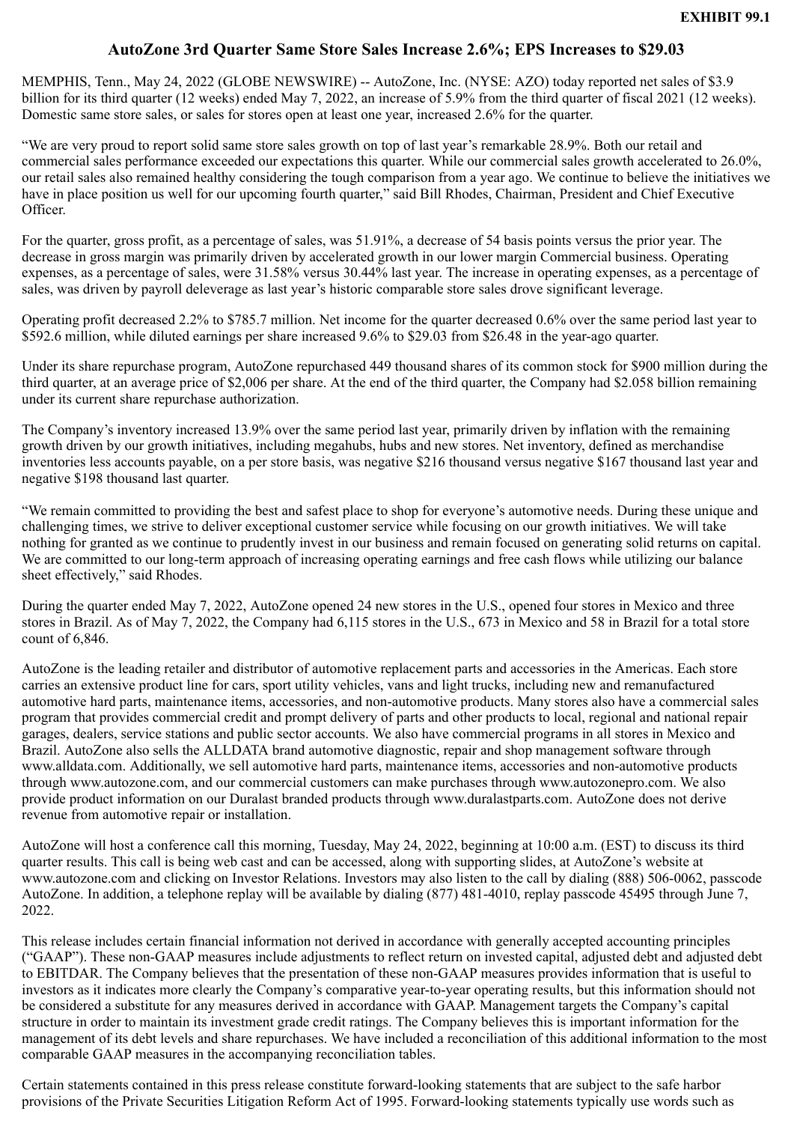## **AutoZone 3rd Quarter Same Store Sales Increase 2.6%; EPS Increases to \$29.03**

<span id="page-3-0"></span>MEMPHIS, Tenn., May 24, 2022 (GLOBE NEWSWIRE) -- AutoZone, Inc. (NYSE: AZO) today reported net sales of \$3.9 billion for its third quarter (12 weeks) ended May 7, 2022, an increase of 5.9% from the third quarter of fiscal 2021 (12 weeks). Domestic same store sales, or sales for stores open at least one year, increased 2.6% for the quarter.

"We are very proud to report solid same store sales growth on top of last year's remarkable 28.9%. Both our retail and commercial sales performance exceeded our expectations this quarter. While our commercial sales growth accelerated to 26.0%, our retail sales also remained healthy considering the tough comparison from a year ago. We continue to believe the initiatives we have in place position us well for our upcoming fourth quarter," said Bill Rhodes, Chairman, President and Chief Executive Officer.

For the quarter, gross profit, as a percentage of sales, was 51.91%, a decrease of 54 basis points versus the prior year. The decrease in gross margin was primarily driven by accelerated growth in our lower margin Commercial business. Operating expenses, as a percentage of sales, were 31.58% versus 30.44% last year. The increase in operating expenses, as a percentage of sales, was driven by payroll deleverage as last year's historic comparable store sales drove significant leverage.

Operating profit decreased 2.2% to \$785.7 million. Net income for the quarter decreased 0.6% over the same period last year to \$592.6 million, while diluted earnings per share increased 9.6% to \$29.03 from \$26.48 in the year-ago quarter.

Under its share repurchase program, AutoZone repurchased 449 thousand shares of its common stock for \$900 million during the third quarter, at an average price of \$2,006 per share. At the end of the third quarter, the Company had \$2.058 billion remaining under its current share repurchase authorization.

The Company's inventory increased 13.9% over the same period last year, primarily driven by inflation with the remaining growth driven by our growth initiatives, including megahubs, hubs and new stores. Net inventory, defined as merchandise inventories less accounts payable, on a per store basis, was negative \$216 thousand versus negative \$167 thousand last year and negative \$198 thousand last quarter.

"We remain committed to providing the best and safest place to shop for everyone's automotive needs. During these unique and challenging times, we strive to deliver exceptional customer service while focusing on our growth initiatives. We will take nothing for granted as we continue to prudently invest in our business and remain focused on generating solid returns on capital. We are committed to our long-term approach of increasing operating earnings and free cash flows while utilizing our balance sheet effectively," said Rhodes.

During the quarter ended May 7, 2022, AutoZone opened 24 new stores in the U.S., opened four stores in Mexico and three stores in Brazil. As of May 7, 2022, the Company had 6,115 stores in the U.S., 673 in Mexico and 58 in Brazil for a total store count of 6,846.

AutoZone is the leading retailer and distributor of automotive replacement parts and accessories in the Americas. Each store carries an extensive product line for cars, sport utility vehicles, vans and light trucks, including new and remanufactured automotive hard parts, maintenance items, accessories, and non-automotive products. Many stores also have a commercial sales program that provides commercial credit and prompt delivery of parts and other products to local, regional and national repair garages, dealers, service stations and public sector accounts. We also have commercial programs in all stores in Mexico and Brazil. AutoZone also sells the ALLDATA brand automotive diagnostic, repair and shop management software through www.alldata.com. Additionally, we sell automotive hard parts, maintenance items, accessories and non-automotive products through www.autozone.com, and our commercial customers can make purchases through www.autozonepro.com. We also provide product information on our Duralast branded products through www.duralastparts.com. AutoZone does not derive revenue from automotive repair or installation.

AutoZone will host a conference call this morning, Tuesday, May 24, 2022, beginning at 10:00 a.m. (EST) to discuss its third quarter results. This call is being web cast and can be accessed, along with supporting slides, at AutoZone's website at www.autozone.com and clicking on Investor Relations. Investors may also listen to the call by dialing (888) 506-0062, passcode AutoZone. In addition, a telephone replay will be available by dialing (877) 481-4010, replay passcode 45495 through June 7, 2022.

This release includes certain financial information not derived in accordance with generally accepted accounting principles ("GAAP"). These non-GAAP measures include adjustments to reflect return on invested capital, adjusted debt and adjusted debt to EBITDAR. The Company believes that the presentation of these non-GAAP measures provides information that is useful to investors as it indicates more clearly the Company's comparative year-to-year operating results, but this information should not be considered a substitute for any measures derived in accordance with GAAP. Management targets the Company's capital structure in order to maintain its investment grade credit ratings. The Company believes this is important information for the management of its debt levels and share repurchases. We have included a reconciliation of this additional information to the most comparable GAAP measures in the accompanying reconciliation tables.

Certain statements contained in this press release constitute forward-looking statements that are subject to the safe harbor provisions of the Private Securities Litigation Reform Act of 1995. Forward-looking statements typically use words such as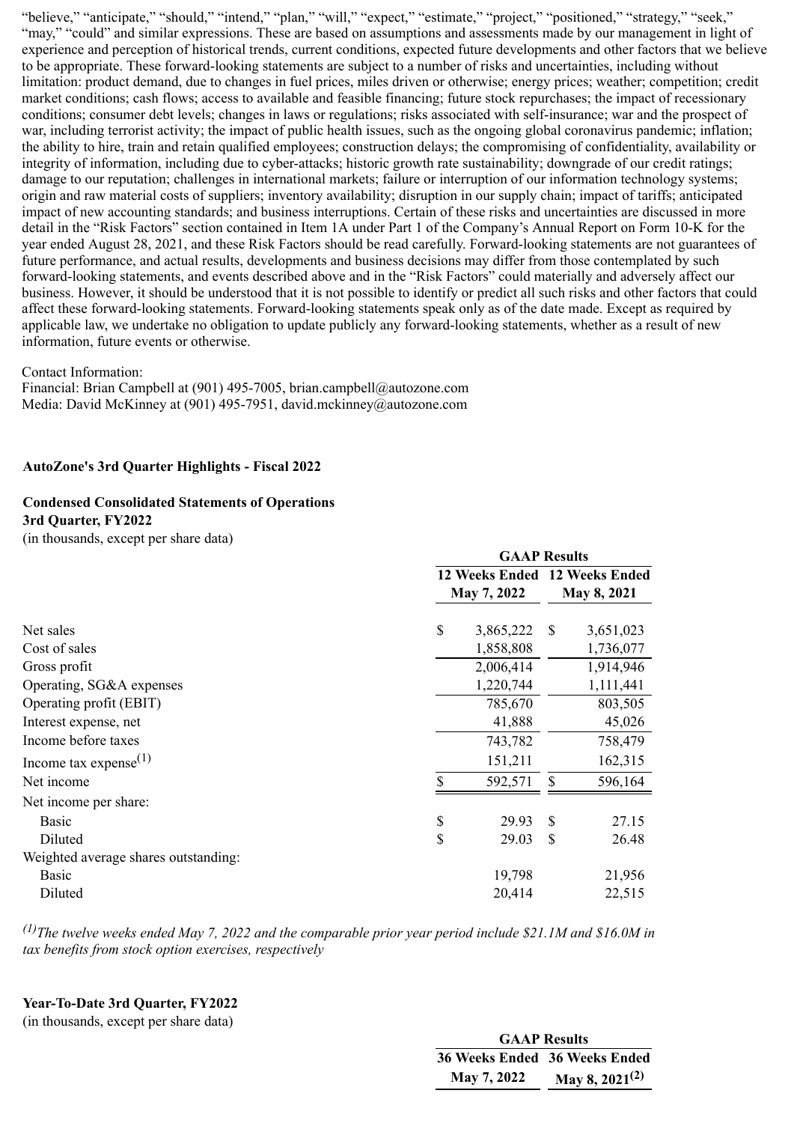"believe," "anticipate," "should," "intend," "plan," "will," "expect," "estimate," "project," "positioned," "strategy," "seek," "may," "could" and similar expressions. These are based on assumptions and assessments made by our management in light of experience and perception of historical trends, current conditions, expected future developments and other factors that we believe to be appropriate. These forward-looking statements are subject to a number of risks and uncertainties, including without limitation: product demand, due to changes in fuel prices, miles driven or otherwise; energy prices; weather; competition; credit market conditions; cash flows; access to available and feasible financing; future stock repurchases; the impact of recessionary conditions; consumer debt levels; changes in laws or regulations; risks associated with self-insurance; war and the prospect of war, including terrorist activity; the impact of public health issues, such as the ongoing global coronavirus pandemic; inflation; the ability to hire, train and retain qualified employees; construction delays; the compromising of confidentiality, availability or integrity of information, including due to cyber-attacks; historic growth rate sustainability; downgrade of our credit ratings; damage to our reputation; challenges in international markets; failure or interruption of our information technology systems; origin and raw material costs of suppliers; inventory availability; disruption in our supply chain; impact of tariffs; anticipated impact of new accounting standards; and business interruptions. Certain of these risks and uncertainties are discussed in more detail in the "Risk Factors" section contained in Item 1A under Part 1 of the Company's Annual Report on Form 10-K for the year ended August 28, 2021, and these Risk Factors should be read carefully. Forward-looking statements are not guarantees of future performance, and actual results, developments and business decisions may differ from those contemplated by such forward-looking statements, and events described above and in the "Risk Factors" could materially and adversely affect our business. However, it should be understood that it is not possible to identify or predict all such risks and other factors that could affect these forward-looking statements. Forward-looking statements speak only as of the date made. Except as required by applicable law, we undertake no obligation to update publicly any forward-looking statements, whether as a result of new information, future events or otherwise.

Contact Information:

Financial: Brian Campbell at (901) 495-7005, brian.campbell@autozone.com Media: David McKinney at (901) 495-7951, david.mckinney@autozone.com

#### **AutoZone's 3rd Quarter Highlights - Fiscal 2022**

# **Condensed Consolidated Statements of Operations**

**3rd Quarter, FY2022** (in thousands, except per share data)

|                                      | <b>GAAP Results</b>                          |           |               |             |  |
|--------------------------------------|----------------------------------------------|-----------|---------------|-------------|--|
|                                      | 12 Weeks Ended 12 Weeks Ended<br>May 7, 2022 |           |               | May 8, 2021 |  |
| Net sales                            | \$                                           | 3,865,222 | <sup>\$</sup> | 3,651,023   |  |
| Cost of sales                        |                                              | 1,858,808 |               | 1,736,077   |  |
| Gross profit                         |                                              | 2,006,414 |               | 1,914,946   |  |
| Operating, SG&A expenses             |                                              | 1,220,744 |               | 1,111,441   |  |
| Operating profit (EBIT)              |                                              | 785,670   |               | 803,505     |  |
| Interest expense, net                |                                              | 41,888    |               | 45,026      |  |
| Income before taxes                  |                                              | 743,782   |               | 758,479     |  |
| Income tax expense $(1)$             |                                              | 151,211   |               | 162,315     |  |
| Net income                           | \$                                           | 592,571   | \$            | 596,164     |  |
| Net income per share:                |                                              |           |               |             |  |
| <b>Basic</b>                         | \$                                           | 29.93     | \$            | 27.15       |  |
| Diluted                              | \$                                           | 29.03     | \$            | 26.48       |  |
| Weighted average shares outstanding: |                                              |           |               |             |  |
| <b>Basic</b>                         |                                              | 19,798    |               | 21,956      |  |
| Diluted                              |                                              | 20,414    |               | 22,515      |  |

*(1)The twelve weeks ended May 7, 2022 and the comparable prior year period include \$21.1M and \$16.0M in tax benefits from stock option exercises, respectively*

#### **Year-To-Date 3rd Quarter, FY2022**

(in thousands, except per share data)

| <b>GAAP Results</b>           |                     |  |  |  |  |  |  |
|-------------------------------|---------------------|--|--|--|--|--|--|
| 36 Weeks Ended 36 Weeks Ended |                     |  |  |  |  |  |  |
| May 7, 2022                   | May 8, $2021^{(2)}$ |  |  |  |  |  |  |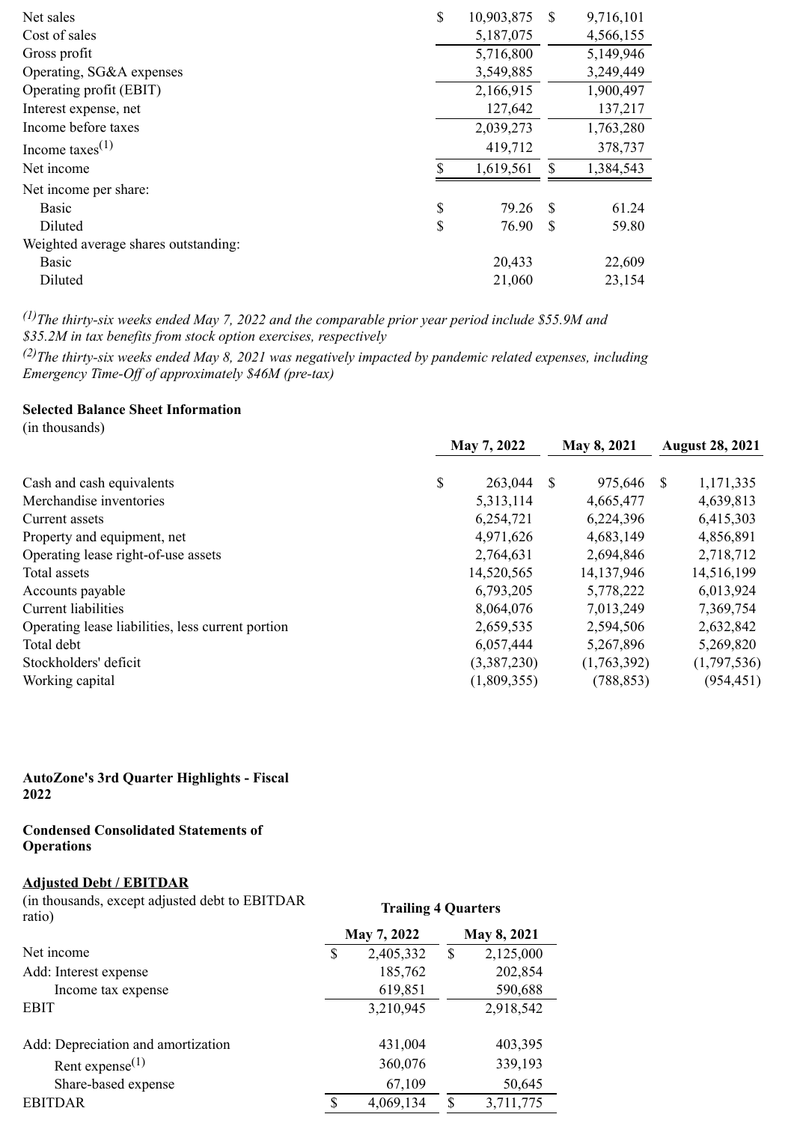| \$<br>10,903,875 | -S | 9,716,101 |
|------------------|----|-----------|
| 5,187,075        |    | 4,566,155 |
| 5,716,800        |    | 5,149,946 |
| 3,549,885        |    | 3,249,449 |
| 2,166,915        |    | 1,900,497 |
| 127,642          |    | 137,217   |
| 2,039,273        |    | 1,763,280 |
| 419,712          |    | 378,737   |
| 1,619,561        |    | 1,384,543 |
|                  |    |           |
| \$<br>79.26      | -S | 61.24     |
| \$<br>76.90      | S  | 59.80     |
|                  |    |           |
| 20,433           |    | 22,609    |
| 21,060           |    | 23,154    |
|                  |    |           |

*(1)The thirty-six weeks ended May 7, 2022 and the comparable prior year period include \$55.9M and \$35.2M in tax benefits from stock option exercises, respectively*

*(2)The thirty-six weeks ended May 8, 2021 was negatively impacted by pandemic related expenses, including Emergency Time-Off of approximately \$46M (pre-tax)*

## **Selected Balance Sheet Information**

(in thousands)

|                                                   | May 7, 2022 |             | May 8, 2021 |             | <b>August 28, 2021</b> |             |
|---------------------------------------------------|-------------|-------------|-------------|-------------|------------------------|-------------|
| Cash and cash equivalents                         | \$          | 263,044     | <b>S</b>    | 975,646     | -S                     | 1,171,335   |
| Merchandise inventories                           |             | 5,313,114   |             | 4,665,477   |                        | 4,639,813   |
| Current assets                                    |             | 6,254,721   |             | 6,224,396   |                        | 6,415,303   |
| Property and equipment, net                       |             | 4,971,626   |             | 4,683,149   |                        | 4,856,891   |
| Operating lease right-of-use assets               |             | 2,764,631   |             | 2,694,846   |                        | 2,718,712   |
| Total assets                                      |             | 14,520,565  |             | 14,137,946  |                        | 14,516,199  |
| Accounts payable                                  |             | 6,793,205   |             | 5,778,222   |                        | 6,013,924   |
| Current liabilities                               |             | 8,064,076   |             | 7,013,249   |                        | 7,369,754   |
| Operating lease liabilities, less current portion |             | 2,659,535   |             | 2,594,506   |                        | 2,632,842   |
| Total debt                                        |             | 6,057,444   |             | 5,267,896   |                        | 5,269,820   |
| Stockholders' deficit                             |             | (3,387,230) |             | (1,763,392) |                        | (1,797,536) |
| Working capital                                   |             | (1,809,355) |             | (788, 853)  |                        | (954, 451)  |

#### **AutoZone's 3rd Quarter Highlights - Fiscal 2022**

#### **Condensed Consolidated Statements of Operations**

#### **Adjusted Debt / EBITDAR**

(in thousands, except adjusted debt to EBITDAR ratio) **Trailing 4 Quarters May 7, 2022 May 8, 2021**

| Net income                         | \$ | 2,405,332 | \$  | 2,125,000 |
|------------------------------------|----|-----------|-----|-----------|
| Add: Interest expense              |    | 185,762   |     | 202,854   |
| Income tax expense                 |    | 619,851   |     | 590,688   |
| <b>EBIT</b>                        |    | 3,210,945 |     | 2,918,542 |
|                                    |    |           |     |           |
| Add: Depreciation and amortization |    | 431,004   |     | 403,395   |
| Rent expense $^{(1)}$              |    | 360,076   |     | 339,193   |
| Share-based expense                |    | 67,109    |     | 50,645    |
| <b>EBITDAR</b>                     | ९  | 4,069,134 | \$. | 3,711,775 |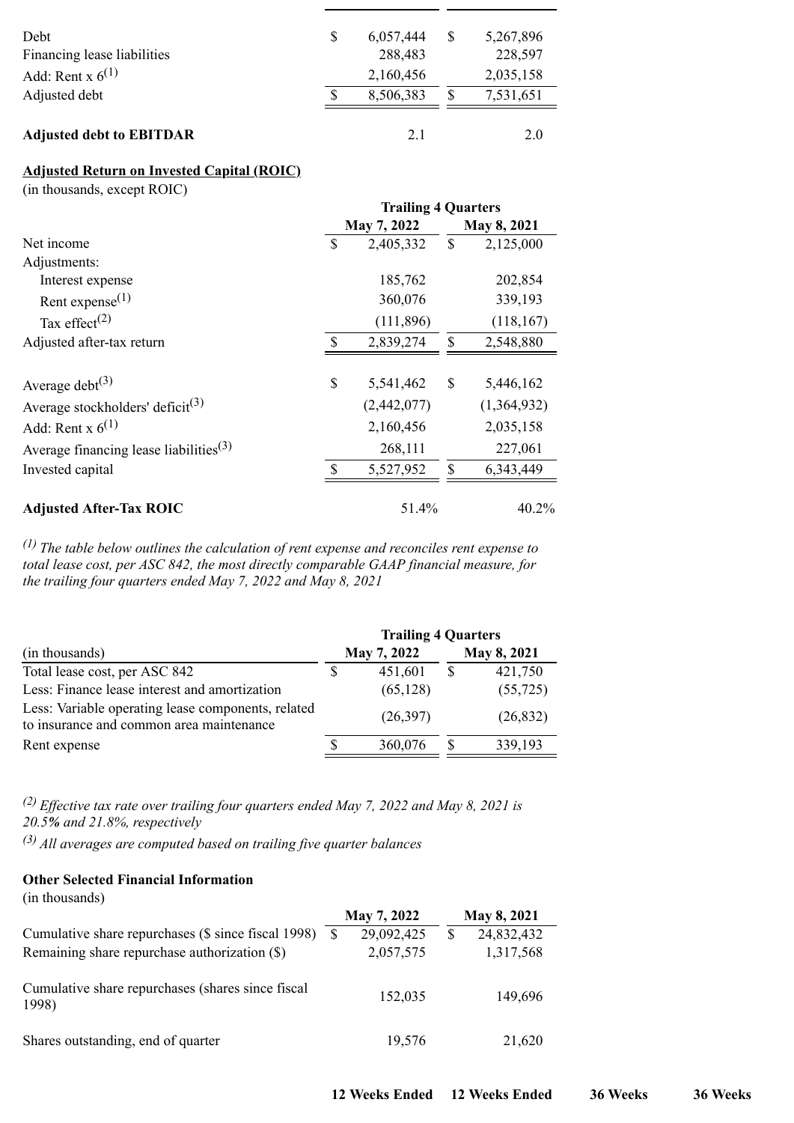| 2,035,158<br>7,531,651 |           |
|------------------------|-----------|
|                        |           |
|                        |           |
| 228,597                |           |
|                        |           |
|                        | 5,267,896 |

# **Adjusted Return on Invested Capital (ROIC)**

(in thousands, except ROIC)

|                                                    | <b>Trailing 4 Quarters</b> |             |              |             |  |  |  |
|----------------------------------------------------|----------------------------|-------------|--------------|-------------|--|--|--|
|                                                    |                            | May 7, 2022 |              | May 8, 2021 |  |  |  |
| Net income                                         | S                          | 2,405,332   | $\mathbb{S}$ | 2,125,000   |  |  |  |
| Adjustments:                                       |                            |             |              |             |  |  |  |
| Interest expense                                   |                            | 185,762     |              | 202,854     |  |  |  |
| Rent expense $^{(1)}$                              |                            | 360,076     |              | 339,193     |  |  |  |
| Tax effect <sup>(2)</sup>                          |                            | (111, 896)  |              | (118, 167)  |  |  |  |
| Adjusted after-tax return                          | <sup>\$</sup>              | 2,839,274   | \$           | 2,548,880   |  |  |  |
| Average debt $(3)$                                 | \$                         | 5,541,462   | \$           | 5,446,162   |  |  |  |
| Average stockholders' deficit <sup>(3)</sup>       |                            | (2,442,077) |              | (1,364,932) |  |  |  |
| Add: Rent x $6^{(1)}$                              |                            | 2,160,456   |              | 2,035,158   |  |  |  |
| Average financing lease liabilities <sup>(3)</sup> |                            | 268,111     |              | 227,061     |  |  |  |
| Invested capital                                   | <sup>\$</sup>              | 5,527,952   | \$           | 6,343,449   |  |  |  |
| <b>Adjusted After-Tax ROIC</b>                     |                            | 51.4%       |              | 40.2%       |  |  |  |

*(1) The table below outlines the calculation of rent expense and reconciles rent expense to total lease cost, per ASC 842, the most directly comparable GAAP financial measure, for the trailing four quarters ended May 7, 2022 and May 8, 2021*

|                                                                                                | <b>Trailing 4 Quarters</b> |             |             |           |  |  |  |
|------------------------------------------------------------------------------------------------|----------------------------|-------------|-------------|-----------|--|--|--|
| (in thousands)                                                                                 |                            | May 7, 2022 | May 8, 2021 |           |  |  |  |
| Total lease cost, per ASC 842                                                                  |                            | 451,601     | \$          | 421,750   |  |  |  |
| Less: Finance lease interest and amortization                                                  |                            | (65, 128)   |             | (55, 725) |  |  |  |
| Less: Variable operating lease components, related<br>to insurance and common area maintenance |                            | (26,397)    |             | (26, 832) |  |  |  |
| Rent expense                                                                                   |                            | 360,076     |             | 339,193   |  |  |  |

*(2) Effective tax rate over trailing four quarters ended May 7, 2022 and May 8, 2021 is 20.5% and 21.8%, respectively*

*(3) All averages are computed based on trailing five quarter balances*

#### **Other Selected Financial Information**

(in thousands)

|                                                                                                      |     | May 7, 2022             | May 8, 2021                   |
|------------------------------------------------------------------------------------------------------|-----|-------------------------|-------------------------------|
| Cumulative share repurchases (\$ since fiscal 1998)<br>Remaining share repurchase authorization (\$) | \$. | 29,092,425<br>2,057,575 | \$<br>24,832,432<br>1,317,568 |
| Cumulative share repurchases (shares since fiscal<br>1998)                                           |     | 152,035                 | 149,696                       |
| Shares outstanding, end of quarter                                                                   |     | 19,576                  | 21,620                        |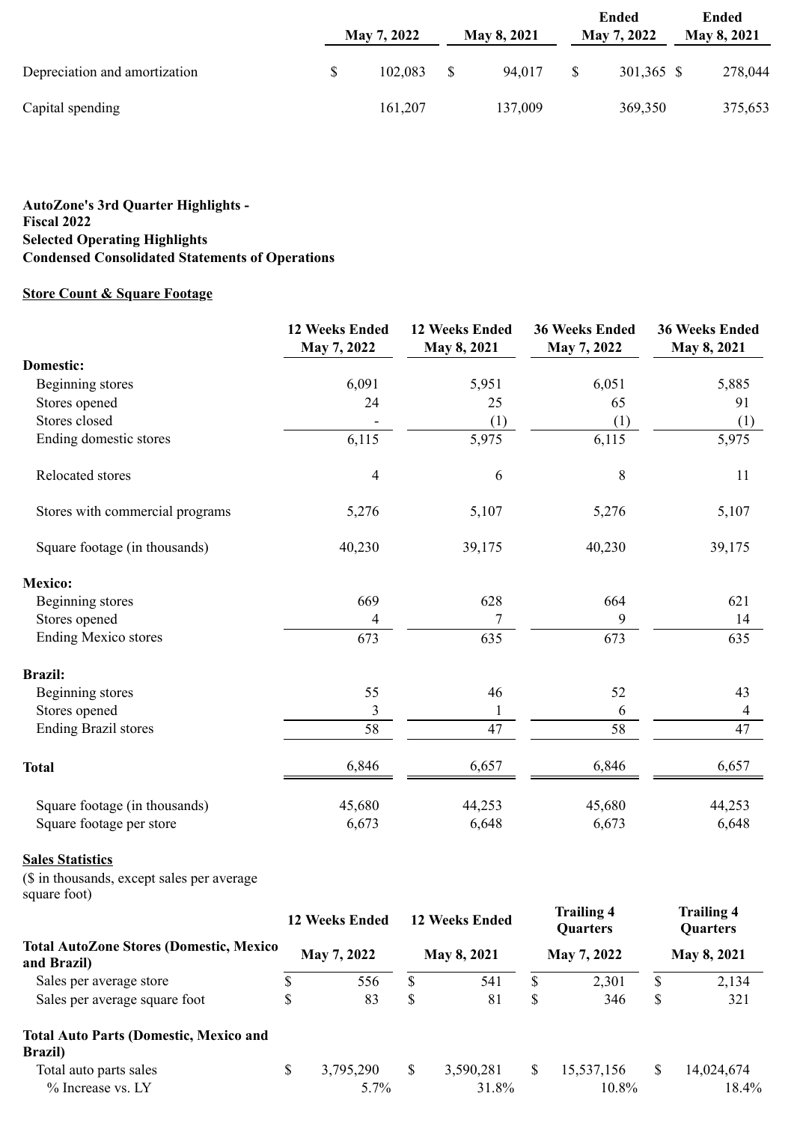|                               | May 7, 2022 | May 8, 2021 | Ended<br>May 7, 2022 | Ended<br>May 8, 2021 |
|-------------------------------|-------------|-------------|----------------------|----------------------|
| Depreciation and amortization | 102.083     | 94.017      | 301,365 \$           | 278,044              |
| Capital spending              | 161,207     | 137,009     | 369,350              | 375,653              |

#### **AutoZone's 3rd Quarter Highlights - Fiscal 2022 Selected Operating Highlights Condensed Consolidated Statements of Operations**

# **Store Count & Square Footage**

|                                 | <b>12 Weeks Ended</b><br>May 7, 2022 | <b>12 Weeks Ended</b><br>May 8, 2021 | <b>36 Weeks Ended</b><br>May 7, 2022 | <b>36 Weeks Ended</b><br>May 8, 2021 |
|---------------------------------|--------------------------------------|--------------------------------------|--------------------------------------|--------------------------------------|
| <b>Domestic:</b>                |                                      |                                      |                                      |                                      |
| Beginning stores                | 6,091                                | 5,951                                | 6,051                                | 5,885                                |
| Stores opened                   | 24                                   | 25                                   | 65                                   | 91                                   |
| Stores closed                   |                                      | (1)                                  | (1)                                  | (1)                                  |
| Ending domestic stores          | 6,115                                | 5,975                                | 6,115                                | 5,975                                |
| Relocated stores                | $\overline{\mathcal{A}}$             | 6                                    | 8                                    | 11                                   |
| Stores with commercial programs | 5,276                                | 5,107                                | 5,276                                | 5,107                                |
| Square footage (in thousands)   | 40,230                               | 39,175                               | 40,230                               | 39,175                               |
| <b>Mexico:</b>                  |                                      |                                      |                                      |                                      |
| Beginning stores                | 669                                  | 628                                  | 664                                  | 621                                  |
| Stores opened                   | 4                                    | 7                                    | 9                                    | 14                                   |
| <b>Ending Mexico stores</b>     | 673                                  | 635                                  | 673                                  | 635                                  |
| <b>Brazil:</b>                  |                                      |                                      |                                      |                                      |
| Beginning stores                | 55                                   | 46                                   | 52                                   | 43                                   |
| Stores opened                   | $\mathfrak{Z}$                       |                                      | 6                                    | 4                                    |
| <b>Ending Brazil stores</b>     | 58                                   | 47                                   | 58                                   | 47                                   |
| <b>Total</b>                    | 6,846                                | 6,657                                | 6,846                                | 6,657                                |
| Square footage (in thousands)   | 45,680                               | 44,253                               | 45,680                               | 44,253                               |
| Square footage per store        | 6,673                                | 6,648                                | 6,673                                | 6,648                                |

## **Sales Statistics**

(\$ in thousands, except sales per average square foot)

|                                                                  |             | <b>12 Weeks Ended</b> |             | <b>12 Weeks Ended</b> |              | <b>Trailing 4</b><br><b>Quarters</b> |               | <b>Trailing 4</b><br><b>Quarters</b> |
|------------------------------------------------------------------|-------------|-----------------------|-------------|-----------------------|--------------|--------------------------------------|---------------|--------------------------------------|
| <b>Total AutoZone Stores (Domestic, Mexico</b><br>and Brazil)    | May 7, 2022 |                       | May 8, 2021 |                       | May 7, 2022  |                                      | May 8, 2021   |                                      |
| Sales per average store                                          | \$          | 556                   | \$          | 541                   |              | 2,301                                | \$            | 2,134                                |
| Sales per average square foot                                    | \$          | 83                    | \$          | 81                    | \$           | 346                                  | \$            | 321                                  |
| <b>Total Auto Parts (Domestic, Mexico and</b><br><b>Brazil</b> ) |             |                       |             |                       |              |                                      |               |                                      |
| Total auto parts sales<br>% Increase vs. LY                      | \$          | 3,795,290<br>$5.7\%$  | S           | 3,590,281<br>31.8%    | <sup>S</sup> | 15,537,156<br>10.8%                  | <sup>\$</sup> | 14,024,674<br>18.4%                  |